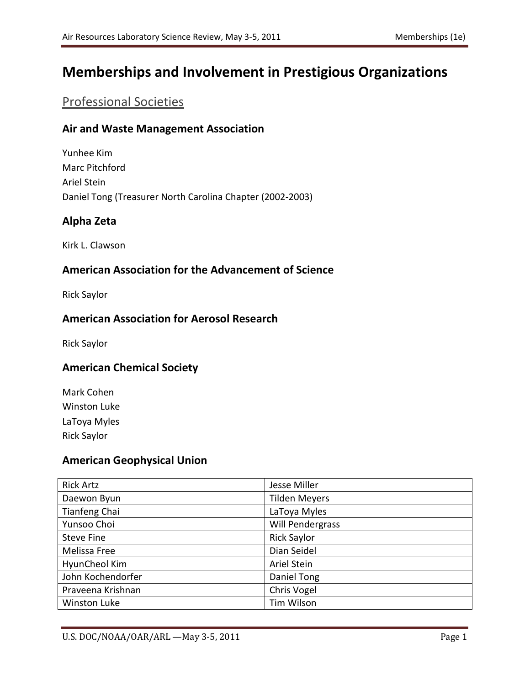# **Memberships and Involvement in Prestigious Organizations**

## Professional Societies

#### **Air and Waste Management Association**

Yunhee Kim Marc Pitchford Ariel Stein Daniel Tong (Treasurer North Carolina Chapter (2002-2003)

#### **Alpha Zeta**

Kirk L. Clawson

#### **American Association for the Advancement of Science**

Rick Saylor

#### **American Association for Aerosol Research**

Rick Saylor

#### **American Chemical Society**

Mark Cohen Winston Luke LaToya Myles Rick Saylor

#### **American Geophysical Union**

| <b>Rick Artz</b>    | Jesse Miller         |
|---------------------|----------------------|
| Daewon Byun         | <b>Tilden Meyers</b> |
| Tianfeng Chai       | LaToya Myles         |
| Yunsoo Choi         | Will Pendergrass     |
| Steve Fine          | <b>Rick Saylor</b>   |
| Melissa Free        | Dian Seidel          |
| HyunCheol Kim       | Ariel Stein          |
| John Kochendorfer   | Daniel Tong          |
| Praveena Krishnan   | Chris Vogel          |
| <b>Winston Luke</b> | Tim Wilson           |